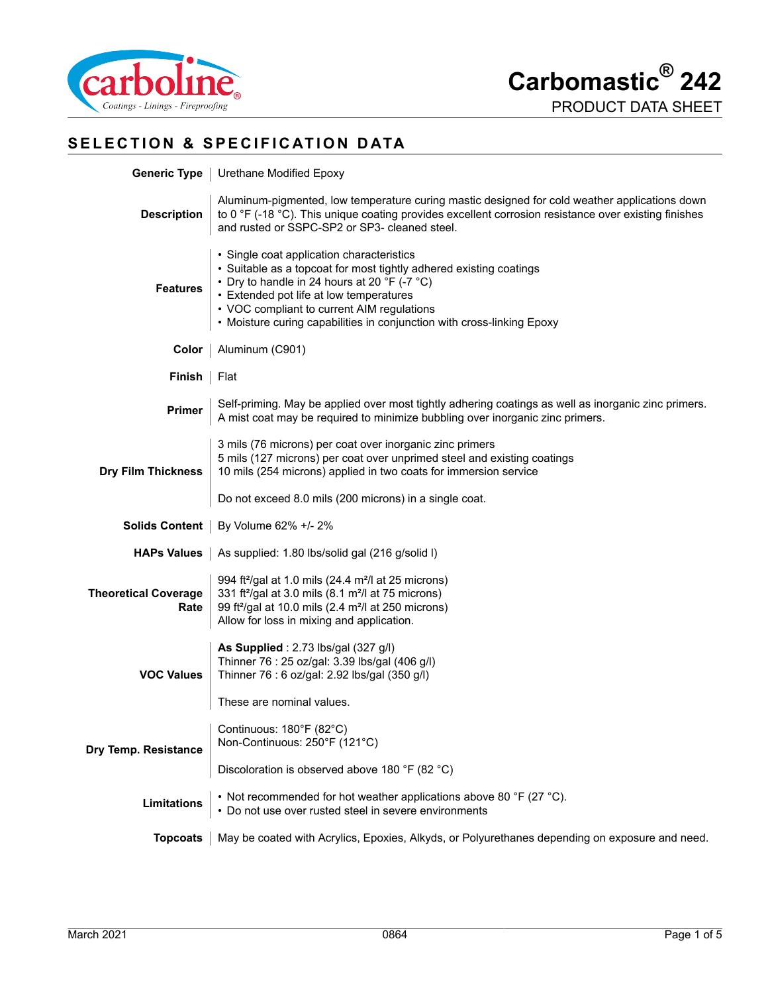

# **SELECTION & SPECIFICATION DATA**

| <b>Generic Type</b>                 | Urethane Modified Epoxy                                                                                                                                                                                                                                                                                                            |  |
|-------------------------------------|------------------------------------------------------------------------------------------------------------------------------------------------------------------------------------------------------------------------------------------------------------------------------------------------------------------------------------|--|
| <b>Description</b>                  | Aluminum-pigmented, low temperature curing mastic designed for cold weather applications down<br>to 0 °F (-18 °C). This unique coating provides excellent corrosion resistance over existing finishes<br>and rusted or SSPC-SP2 or SP3- cleaned steel.                                                                             |  |
| <b>Features</b>                     | · Single coat application characteristics<br>• Suitable as a topcoat for most tightly adhered existing coatings<br>• Dry to handle in 24 hours at 20 °F (-7 °C)<br>• Extended pot life at low temperatures<br>• VOC compliant to current AIM regulations<br>• Moisture curing capabilities in conjunction with cross-linking Epoxy |  |
| Color                               | Aluminum (C901)                                                                                                                                                                                                                                                                                                                    |  |
| Finish                              | Flat                                                                                                                                                                                                                                                                                                                               |  |
| Primer                              | Self-priming. May be applied over most tightly adhering coatings as well as inorganic zinc primers.<br>A mist coat may be required to minimize bubbling over inorganic zinc primers.                                                                                                                                               |  |
| <b>Dry Film Thickness</b>           | 3 mils (76 microns) per coat over inorganic zinc primers<br>5 mils (127 microns) per coat over unprimed steel and existing coatings<br>10 mils (254 microns) applied in two coats for immersion service                                                                                                                            |  |
|                                     | Do not exceed 8.0 mils (200 microns) in a single coat.                                                                                                                                                                                                                                                                             |  |
| <b>Solids Content</b>               | By Volume 62% +/- 2%                                                                                                                                                                                                                                                                                                               |  |
| <b>HAPs Values</b>                  | As supplied: 1.80 lbs/solid gal (216 g/solid I)                                                                                                                                                                                                                                                                                    |  |
| <b>Theoretical Coverage</b><br>Rate | 994 ft <sup>2</sup> /gal at 1.0 mils (24.4 m <sup>2</sup> /l at 25 microns)<br>331 ft <sup>2</sup> /gal at 3.0 mils (8.1 m <sup>2</sup> /l at 75 microns)<br>99 ft <sup>2</sup> /gal at 10.0 mils (2.4 m <sup>2</sup> /l at 250 microns)<br>Allow for loss in mixing and application.                                              |  |
| <b>VOC Values</b>                   | As Supplied: 2.73 lbs/gal (327 g/l)<br>Thinner 76: 25 oz/gal: 3.39 lbs/gal (406 g/l)<br>Thinner 76 : 6 oz/gal: 2.92 lbs/gal (350 g/l)                                                                                                                                                                                              |  |
|                                     | These are nominal values.                                                                                                                                                                                                                                                                                                          |  |
| Dry Temp. Resistance                | Continuous: 180°F (82°C)<br>Non-Continuous: 250°F (121°C)                                                                                                                                                                                                                                                                          |  |
|                                     | Discoloration is observed above 180 °F (82 °C)                                                                                                                                                                                                                                                                                     |  |
| Limitations                         | • Not recommended for hot weather applications above 80 °F (27 °C).<br>• Do not use over rusted steel in severe environments                                                                                                                                                                                                       |  |
| <b>Topcoats</b>                     | May be coated with Acrylics, Epoxies, Alkyds, or Polyurethanes depending on exposure and need.                                                                                                                                                                                                                                     |  |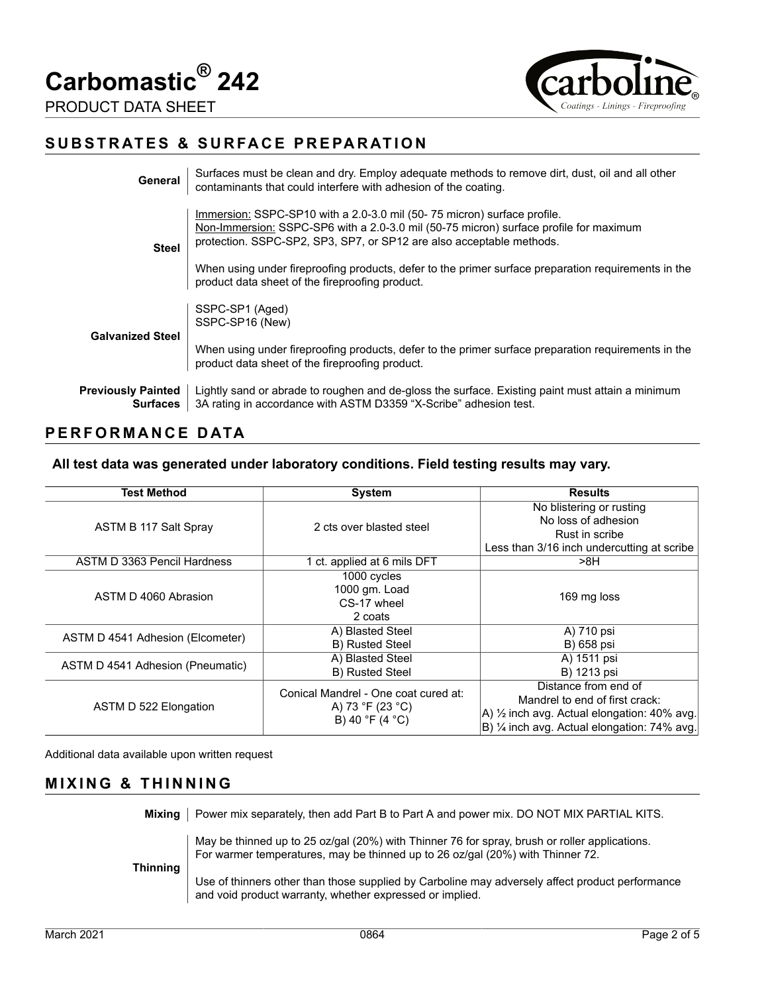**Carbomastic® 242**





## **SUBSTRATES & SURFACE PREPARATION**

| General                                      | Surfaces must be clean and dry. Employ adequate methods to remove dirt, dust, oil and all other<br>contaminants that could interfere with adhesion of the coating.                                                                       |
|----------------------------------------------|------------------------------------------------------------------------------------------------------------------------------------------------------------------------------------------------------------------------------------------|
| <b>Steel</b>                                 | Immersion: SSPC-SP10 with a 2.0-3.0 mil (50-75 micron) surface profile.<br>Non-Immersion: SSPC-SP6 with a 2.0-3.0 mil (50-75 micron) surface profile for maximum<br>protection. SSPC-SP2, SP3, SP7, or SP12 are also acceptable methods. |
|                                              | When using under fireproofing products, defer to the primer surface preparation requirements in the<br>product data sheet of the fireproofing product.                                                                                   |
| <b>Galvanized Steel</b>                      | SSPC-SP1 (Aged)<br>SSPC-SP16 (New)                                                                                                                                                                                                       |
|                                              | When using under fireproofing products, defer to the primer surface preparation requirements in the<br>product data sheet of the fireproofing product.                                                                                   |
| <b>Previously Painted</b><br><b>Surfaces</b> | Lightly sand or abrade to roughen and de-gloss the surface. Existing paint must attain a minimum<br>3A rating in accordance with ASTM D3359 "X-Scribe" adhesion test.                                                                    |

## **PERFORMANCE DATA**

#### **All test data was generated under laboratory conditions. Field testing results may vary.**

| <b>Test Method</b>               | <b>System</b>                        | <b>Results</b>                                         |
|----------------------------------|--------------------------------------|--------------------------------------------------------|
|                                  |                                      | No blistering or rusting                               |
| ASTM B 117 Salt Spray            | 2 cts over blasted steel             | No loss of adhesion                                    |
|                                  |                                      | Rust in scribe                                         |
|                                  |                                      | Less than 3/16 inch undercutting at scribe             |
| ASTM D 3363 Pencil Hardness      | 1 ct. applied at 6 mils DFT          | >8H                                                    |
|                                  | 1000 cycles                          |                                                        |
| ASTM D 4060 Abrasion             | 1000 gm. Load                        | 169 mg loss                                            |
|                                  | CS-17 wheel                          |                                                        |
|                                  | 2 coats                              |                                                        |
| ASTM D 4541 Adhesion (Elcometer) | A) Blasted Steel                     | A) 710 psi                                             |
|                                  | B) Rusted Steel                      | B) 658 psi                                             |
| ASTM D 4541 Adhesion (Pneumatic) | A) Blasted Steel                     | A) 1511 psi                                            |
|                                  | <b>B)</b> Rusted Steel               | B) 1213 psi                                            |
|                                  | Conical Mandrel - One coat cured at: | Distance from end of                                   |
| ASTM D 522 Elongation            | A) 73 °F (23 °C)<br>B) 40 °F (4 °C)  | Mandrel to end of first crack:                         |
|                                  |                                      | A) $\frac{1}{2}$ inch avg. Actual elongation: 40% avg. |
|                                  |                                      | B) 1/4 inch avg. Actual elongation: 74% avg.           |

Additional data available upon written request

#### **MIXING & THINNING**

Mixing | Power mix separately, then add Part B to Part A and power mix. DO NOT MIX PARTIAL KITS.

May be thinned up to 25 oz/gal (20%) with Thinner 76 for spray, brush or roller applications. For warmer temperatures, may be thinned up to 26 oz/gal (20%) with Thinner 72.

**Thinning**

Use of thinners other than those supplied by Carboline may adversely affect product performance and void product warranty, whether expressed or implied.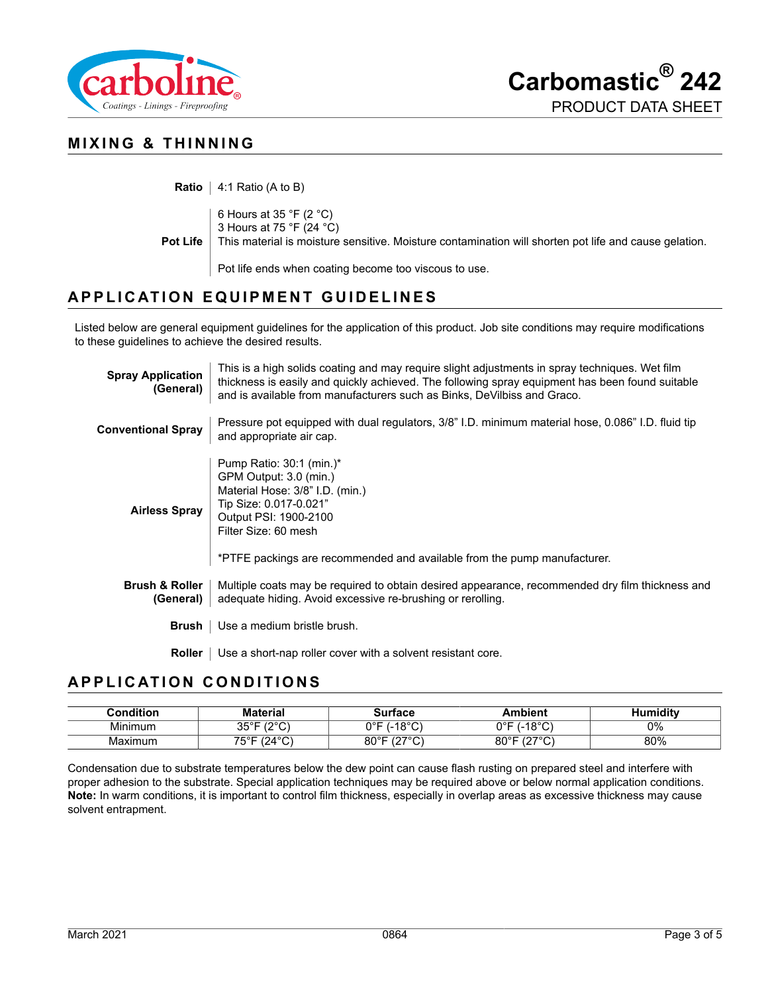



## **MIXING & THINNING**

**Ratio** | 4:1 Ratio (A to B)

**Pot Life** 6 Hours at 35 °F (2 °C) 3 Hours at 75 °F (24 °C) This material is moisture sensitive. Moisture contamination will shorten pot life and cause gelation. Pot life ends when coating become too viscous to use.

## **APPLICATION EQUIPMENT GUIDELINES**

Listed below are general equipment guidelines for the application of this product. Job site conditions may require modifications to these guidelines to achieve the desired results.

| <b>Spray Application</b><br>(General)  | This is a high solids coating and may require slight adjustments in spray techniques. Wet film<br>thickness is easily and quickly achieved. The following spray equipment has been found suitable<br>and is available from manufacturers such as Binks, DeVilbiss and Graco. |  |
|----------------------------------------|------------------------------------------------------------------------------------------------------------------------------------------------------------------------------------------------------------------------------------------------------------------------------|--|
| <b>Conventional Spray</b>              | Pressure pot equipped with dual regulators, 3/8" I.D. minimum material hose, 0.086" I.D. fluid tip<br>and appropriate air cap.                                                                                                                                               |  |
| <b>Airless Spray</b>                   | Pump Ratio: $30:1$ (min.)*<br>GPM Output: 3.0 (min.)<br>Material Hose: 3/8" I.D. (min.)<br>Tip Size: 0.017-0.021"<br>Output PSI: 1900-2100<br>Filter Size: 60 mesh<br>*PTFE packings are recommended and available from the pump manufacturer.                               |  |
| <b>Brush &amp; Roller</b><br>(General) | Multiple coats may be required to obtain desired appearance, recommended dry film thickness and<br>adequate hiding. Avoid excessive re-brushing or rerolling.                                                                                                                |  |
| Brush                                  | Use a medium bristle brush.                                                                                                                                                                                                                                                  |  |
| Roller                                 | Use a short-nap roller cover with a solvent resistant core.                                                                                                                                                                                                                  |  |

### **APPLICATION CONDITIONS**

| Condition | Material                        | Surface                               | <b>Ambient</b>                   | Humiditv |
|-----------|---------------------------------|---------------------------------------|----------------------------------|----------|
| Minimum   | $35^{\circ}$ F (2 $^{\circ}$ C) | $(-18°C)$<br>∩∘⊏                      | $-18^{\circ}$ C`<br>0°F          | 0%       |
| Maximum   | 75°F (24°C)                     | $80^{\circ}$ F<br>10700<br>، ک<br>َ ب | $80^{\circ}$ F (27 $^{\circ}$ C) | 80%      |

Condensation due to substrate temperatures below the dew point can cause flash rusting on prepared steel and interfere with proper adhesion to the substrate. Special application techniques may be required above or below normal application conditions. **Note:** In warm conditions, it is important to control film thickness, especially in overlap areas as excessive thickness may cause solvent entrapment.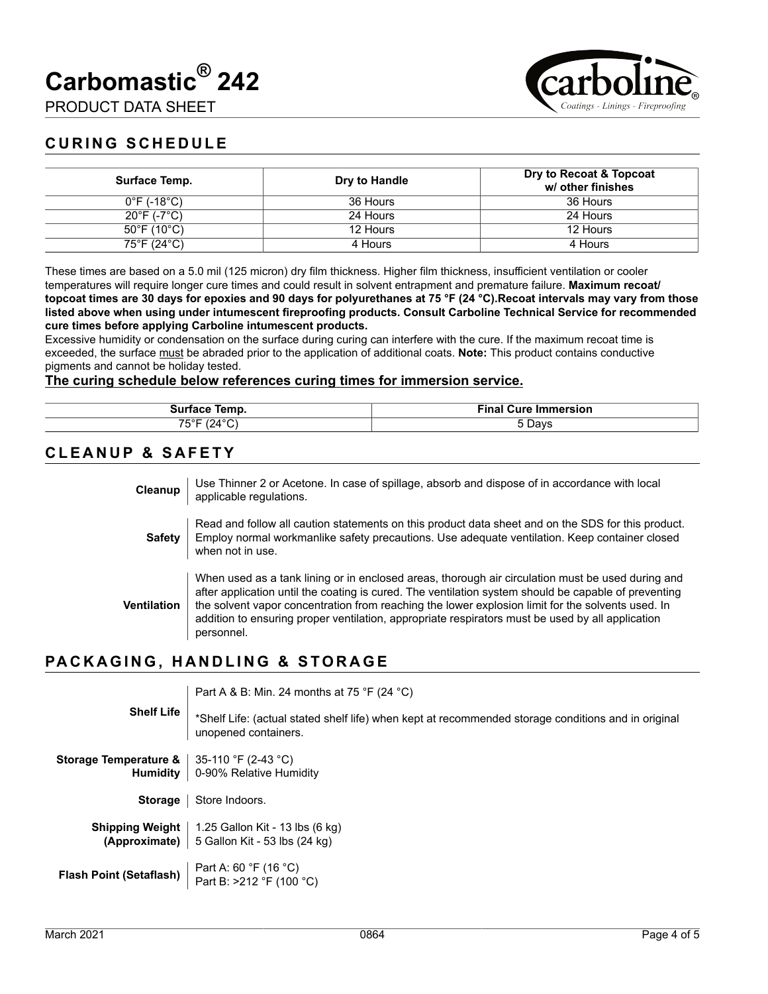**Carbomastic® 242**

PRODUCT DATA SHEET



## **CURING SCHEDULE**

| Surface Temp.                    | Dry to Handle | Dry to Recoat & Topcoat<br>w/ other finishes |
|----------------------------------|---------------|----------------------------------------------|
| $0^{\circ}$ F (-18 $^{\circ}$ C) | 36 Hours      | 36 Hours                                     |
| $20^{\circ}$ F (-7 $^{\circ}$ C) | 24 Hours      | 24 Hours                                     |
| $50^{\circ}$ F (10 $^{\circ}$ C) | 12 Hours      | 12 Hours                                     |
| 75°F (24°C)                      | 4 Hours       | 4 Hours                                      |

These times are based on a 5.0 mil (125 micron) dry film thickness. Higher film thickness, insufficient ventilation or cooler temperatures will require longer cure times and could result in solvent entrapment and premature failure. **Maximum recoat/ topcoat times are 30 days for epoxies and 90 days for polyurethanes at 75 °F (24 °C).Recoat intervals may vary from those listed above when using under intumescent fireproofing products. Consult Carboline Technical Service for recommended cure times before applying Carboline intumescent products.**

Excessive humidity or condensation on the surface during curing can interfere with the cure. If the maximum recoat time is exceeded, the surface must be abraded prior to the application of additional coats. **Note:** This product contains conductive pigments and cannot be holiday tested.

#### **The curing schedule below references curing times for immersion service.**

| Temp.                             | Timet<br><b>THEFT</b><br>e Immersion<br>uure<br>-ınaı |
|-----------------------------------|-------------------------------------------------------|
| $\sim$<br>. .<br>╯<br><br>υ<br>-- | 5 Davs                                                |

#### **CLEANUP & SAFETY**

| Cleanup       | Use Thinner 2 or Acetone. In case of spillage, absorb and dispose of in accordance with local<br>applicable regulations.                                                                                                                                                                                                                                                                                                         |
|---------------|----------------------------------------------------------------------------------------------------------------------------------------------------------------------------------------------------------------------------------------------------------------------------------------------------------------------------------------------------------------------------------------------------------------------------------|
| <b>Safety</b> | Read and follow all caution statements on this product data sheet and on the SDS for this product.<br>Employ normal workmanlike safety precautions. Use adequate ventilation. Keep container closed<br>when not in use.                                                                                                                                                                                                          |
| Ventilation   | When used as a tank lining or in enclosed areas, thorough air circulation must be used during and<br>after application until the coating is cured. The ventilation system should be capable of preventing<br>the solvent vapor concentration from reaching the lower explosion limit for the solvents used. In<br>addition to ensuring proper ventilation, appropriate respirators must be used by all application<br>personnel. |

### **PACKAGING, HANDLING & STORAGE**

| <b>Shelf Life</b>                                                                                                                                                            | Part A & B: Min. 24 months at 75 °F (24 °C)                                                                                 |  |
|------------------------------------------------------------------------------------------------------------------------------------------------------------------------------|-----------------------------------------------------------------------------------------------------------------------------|--|
|                                                                                                                                                                              | *Shelf Life: (actual stated shelf life) when kept at recommended storage conditions and in original<br>unopened containers. |  |
| <b>Storage Temperature &amp;</b> $ $ 35-110 °F (2-43 °C)                                                                                                                     |                                                                                                                             |  |
|                                                                                                                                                                              | Humidity   0-90% Relative Humidity                                                                                          |  |
|                                                                                                                                                                              | <b>Storage</b>   Store Indoors.                                                                                             |  |
|                                                                                                                                                                              | <b>Shipping Weight</b>   1.25 Gallon Kit - 13 lbs $(6 \text{ kg})$                                                          |  |
|                                                                                                                                                                              | <b>(Approximate)</b> $\vert$ 5 Gallon Kit - 53 lbs (24 kg)                                                                  |  |
| <b>Flash Point (Setaflash)</b> $\left[\begin{array}{c} \text{Part A: 60 } \text{°F (16 } \text{°C)} \\ \text{Part B: } > 212 \text{ °F (100 } \text{°C)} \end{array}\right]$ |                                                                                                                             |  |